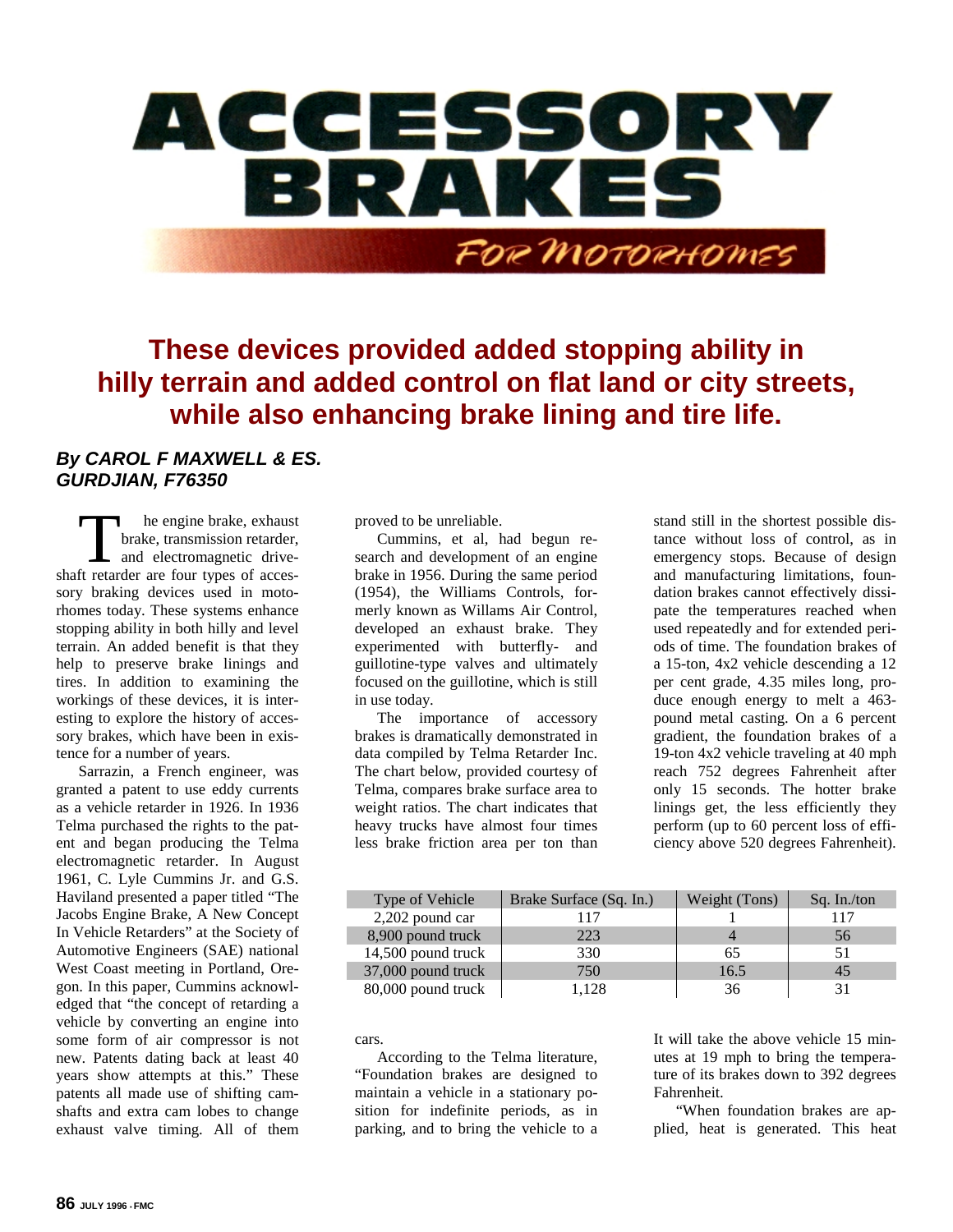

**These devices provided added stopping ability in hilly terrain and added control on flat land or city streets, while also enhancing brake lining and tire life.**

## *By CAROL F MAXWELL & ES. GURDJIAN, F76350*

he engine brake, exhaust brake, transmission retarder, and electromagnetic drive-The engine brake, exhaust<br>brake, transmission retarder,<br>and electromagnetic drive-<br>shaft retarder are four types of accessory braking devices used in motorhomes today. These systems enhance stopping ability in both hilly and level terrain. An added benefit is that they help to preserve brake linings and tires. In addition to examining the workings of these devices, it is interesting to explore the history of accessory brakes, which have been in existence for a number of years.

Sarrazin, a French engineer, was granted a patent to use eddy currents as a vehicle retarder in 1926. In 1936 Telma purchased the rights to the patent and began producing the Telma electromagnetic retarder. In August 1961, C. Lyle Cummins Jr. and G.S. Haviland presented a paper titled "The Jacobs Engine Brake, A New Concept In Vehicle Retarders" at the Society of Automotive Engineers (SAE) national West Coast meeting in Portland, Oregon. In this paper, Cummins acknowledged that "the concept of retarding a vehicle by converting an engine into some form of air compressor is not new. Patents dating back at least 40 years show attempts at this." These patents all made use of shifting camshafts and extra cam lobes to change exhaust valve timing. All of them proved to be unreliable.

Cummins, et al, had begun research and development of an engine brake in 1956. During the same period (1954), the Williams Controls, formerly known as Willams Air Control, developed an exhaust brake. They experimented with butterfly- and guillotine-type valves and ultimately focused on the guillotine, which is still in use today.

The importance of accessory brakes is dramatically demonstrated in data compiled by Telma Retarder Inc. The chart below, provided courtesy of Telma, compares brake surface area to weight ratios. The chart indicates that heavy trucks have almost four times less brake friction area per ton than

stand still in the shortest possible distance without loss of control, as in emergency stops. Because of design and manufacturing limitations, foundation brakes cannot effectively dissipate the temperatures reached when used repeatedly and for extended periods of time. The foundation brakes of a 15-ton, 4x2 vehicle descending a 12 per cent grade, 4.35 miles long, produce enough energy to melt a 463 pound metal casting. On a 6 percent gradient, the foundation brakes of a 19-ton 4x2 vehicle traveling at 40 mph reach 752 degrees Fahrenheit after only 15 seconds. The hotter brake linings get, the less efficiently they perform (up to 60 percent loss of efficiency above 520 degrees Fahrenheit).

| Type of Vehicle    | Brake Surface (Sq. In.) | Weight (Tons) | Sq. In./ton |
|--------------------|-------------------------|---------------|-------------|
| 2,202 pound car    |                         |               | 117         |
| 8,900 pound truck  | 223                     |               | 56          |
| 14,500 pound truck | 330                     | 65            |             |
| 37,000 pound truck | 750                     | 16.5          | 45          |
| 80,000 pound truck | 1.128                   | 36            |             |

cars.

According to the Telma literature, "Foundation brakes are designed to maintain a vehicle in a stationary position for indefinite periods, as in parking, and to bring the vehicle to a

It will take the above vehicle 15 minutes at 19 mph to bring the temperature of its brakes down to 392 degrees Fahrenheit.

"When foundation brakes are applied, heat is generated. This heat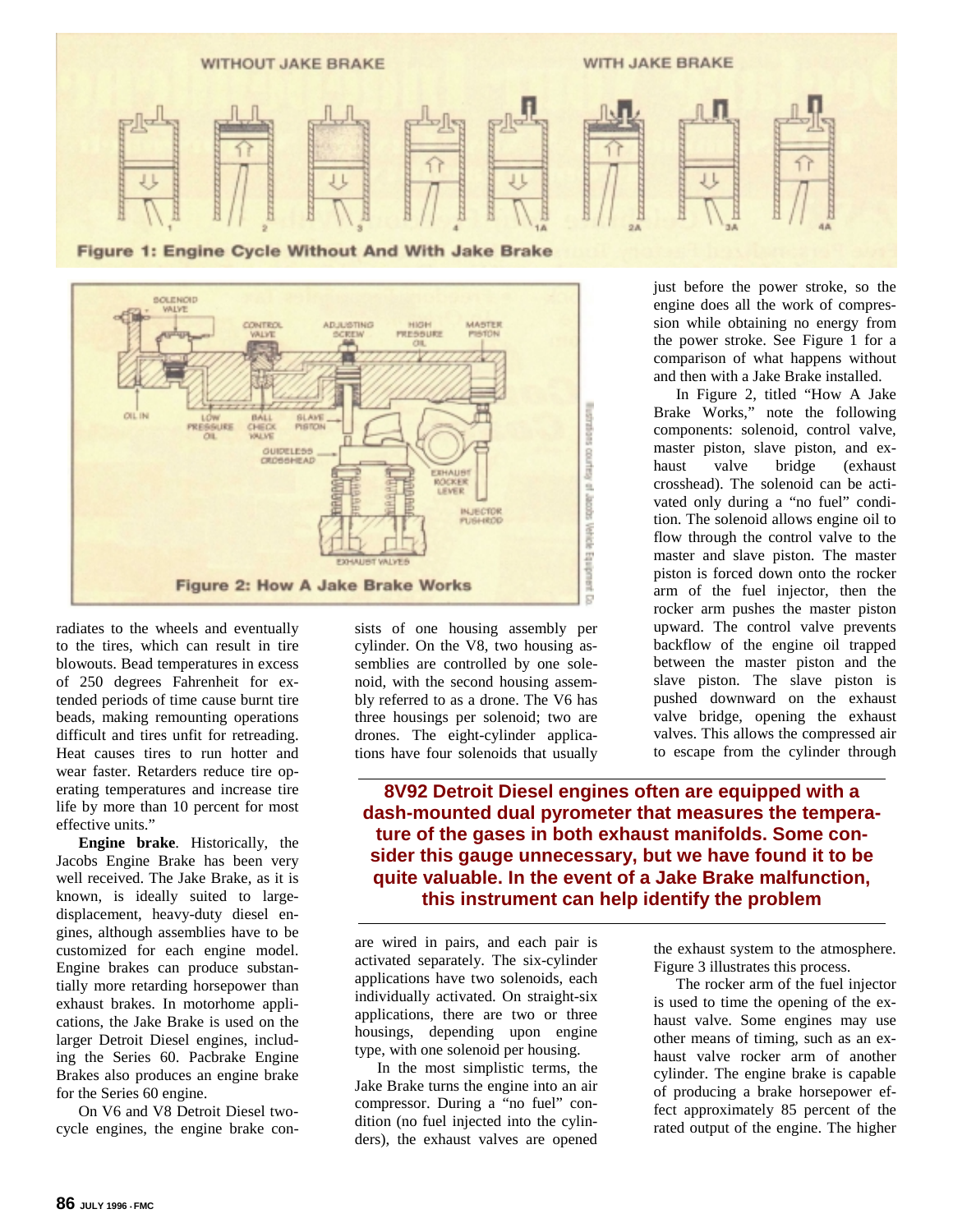



radiates to the wheels and eventually to the tires, which can result in tire blowouts. Bead temperatures in excess of 250 degrees Fahrenheit for extended periods of time cause burnt tire beads, making remounting operations difficult and tires unfit for retreading. Heat causes tires to run hotter and wear faster. Retarders reduce tire operating temperatures and increase tire life by more than 10 percent for most effective units."

**Engine brake**. Historically, the Jacobs Engine Brake has been very well received. The Jake Brake, as it is known, is ideally suited to largedisplacement, heavy-duty diesel engines, although assemblies have to be customized for each engine model. Engine brakes can produce substantially more retarding horsepower than exhaust brakes. In motorhome applications, the Jake Brake is used on the larger Detroit Diesel engines, including the Series 60. Pacbrake Engine Brakes also produces an engine brake for the Series 60 engine.

On V6 and V8 Detroit Diesel twocycle engines, the engine brake consists of one housing assembly per cylinder. On the V8, two housing assemblies are controlled by one solenoid, with the second housing assembly referred to as a drone. The V6 has three housings per solenoid; two are drones. The eight-cylinder applications have four solenoids that usually just before the power stroke, so the engine does all the work of compression while obtaining no energy from the power stroke. See Figure 1 for a comparison of what happens without and then with a Jake Brake installed.

In Figure 2, titled "How A Jake Brake Works," note the following components: solenoid, control valve, master piston, slave piston, and exhaust valve bridge (exhaust crosshead). The solenoid can be activated only during a "no fuel" condition. The solenoid allows engine oil to flow through the control valve to the master and slave piston. The master piston is forced down onto the rocker arm of the fuel injector, then the rocker arm pushes the master piston upward. The control valve prevents backflow of the engine oil trapped between the master piston and the slave piston. The slave piston is pushed downward on the exhaust valve bridge, opening the exhaust valves. This allows the compressed air to escape from the cylinder through

**8V92 Detroit Diesel engines often are equipped with a dash-mounted dual pyrometer that measures the temperature of the gases in both exhaust manifolds. Some consider this gauge unnecessary, but we have found it to be quite valuable. In the event of a Jake Brake malfunction, this instrument can help identify the problem**

are wired in pairs, and each pair is activated separately. The six-cylinder applications have two solenoids, each individually activated. On straight-six applications, there are two or three housings, depending upon engine type, with one solenoid per housing.

In the most simplistic terms, the Jake Brake turns the engine into an air compressor. During a "no fuel" condition (no fuel injected into the cylinders), the exhaust valves are opened

the exhaust system to the atmosphere. Figure 3 illustrates this process.

The rocker arm of the fuel injector is used to time the opening of the exhaust valve. Some engines may use other means of timing, such as an exhaust valve rocker arm of another cylinder. The engine brake is capable of producing a brake horsepower effect approximately 85 percent of the rated output of the engine. The higher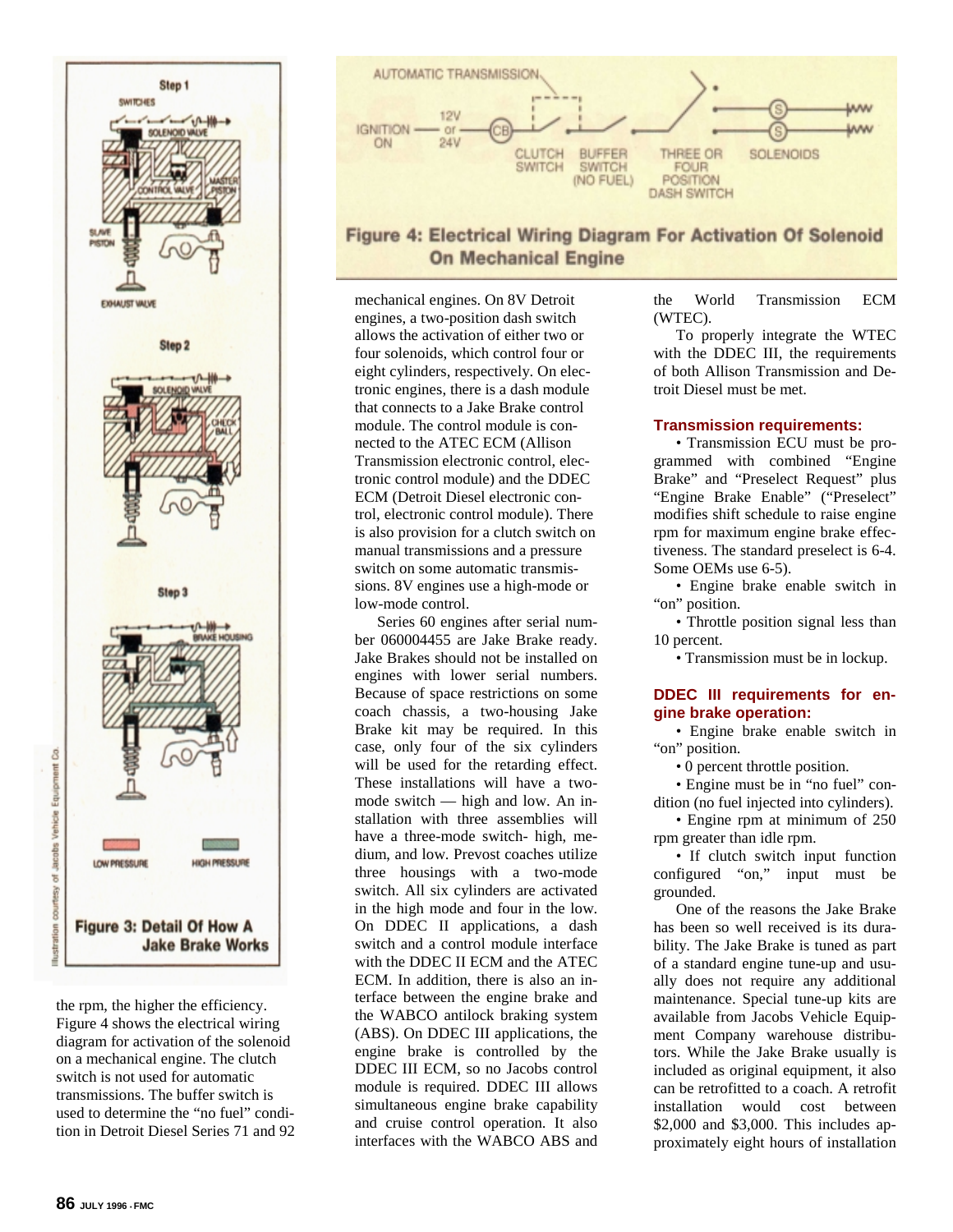

the rpm, the higher the efficiency. Figure 4 shows the electrical wiring diagram for activation of the solenoid on a mechanical engine. The clutch switch is not used for automatic transmissions. The buffer switch is used to determine the "no fuel" condition in Detroit Diesel Series 71 and 92



# Figure 4: Electrical Wiring Diagram For Activation Of Solenoid **On Mechanical Engine**

mechanical engines. On 8V Detroit engines, a two-position dash switch allows the activation of either two or four solenoids, which control four or eight cylinders, respectively. On electronic engines, there is a dash module that connects to a Jake Brake control module. The control module is connected to the ATEC ECM (Allison Transmission electronic control, electronic control module) and the DDEC ECM (Detroit Diesel electronic control, electronic control module). There is also provision for a clutch switch on manual transmissions and a pressure switch on some automatic transmissions. 8V engines use a high-mode or low-mode control.

Series 60 engines after serial number 060004455 are Jake Brake ready. Jake Brakes should not be installed on engines with lower serial numbers. Because of space restrictions on some coach chassis, a two-housing Jake Brake kit may be required. In this case, only four of the six cylinders will be used for the retarding effect. These installations will have a twomode switch — high and low. An installation with three assemblies will have a three-mode switch- high, medium, and low. Prevost coaches utilize three housings with a two-mode switch. All six cylinders are activated in the high mode and four in the low. On DDEC II applications, a dash switch and a control module interface with the DDEC II ECM and the ATEC ECM. In addition, there is also an interface between the engine brake and the WABCO antilock braking system (ABS). On DDEC III applications, the engine brake is controlled by the DDEC III ECM, so no Jacobs control module is required. DDEC III allows simultaneous engine brake capability and cruise control operation. It also interfaces with the WABCO ABS and the World Transmission ECM (WTEC).

To properly integrate the WTEC with the DDEC III, the requirements of both Allison Transmission and Detroit Diesel must be met.

#### **Transmission requirements:**

• Transmission ECU must be programmed with combined "Engine Brake" and "Preselect Request" plus "Engine Brake Enable" ("Preselect" modifies shift schedule to raise engine rpm for maximum engine brake effectiveness. The standard preselect is 6-4. Some OEMs use 6-5).

• Engine brake enable switch in "on" position.

• Throttle position signal less than 10 percent.

• Transmission must be in lockup.

#### **DDEC III requirements for engine brake operation:**

• Engine brake enable switch in "on" position.

• 0 percent throttle position.

• Engine must be in "no fuel" condition (no fuel injected into cylinders).

• Engine rpm at minimum of 250 rpm greater than idle rpm.

• If clutch switch input function configured "on," input must be grounded.

One of the reasons the Jake Brake has been so well received is its durability. The Jake Brake is tuned as part of a standard engine tune-up and usually does not require any additional maintenance. Special tune-up kits are available from Jacobs Vehicle Equipment Company warehouse distributors. While the Jake Brake usually is included as original equipment, it also can be retrofitted to a coach. A retrofit<br>installation would cost between would cost between \$2,000 and \$3,000. This includes approximately eight hours of installation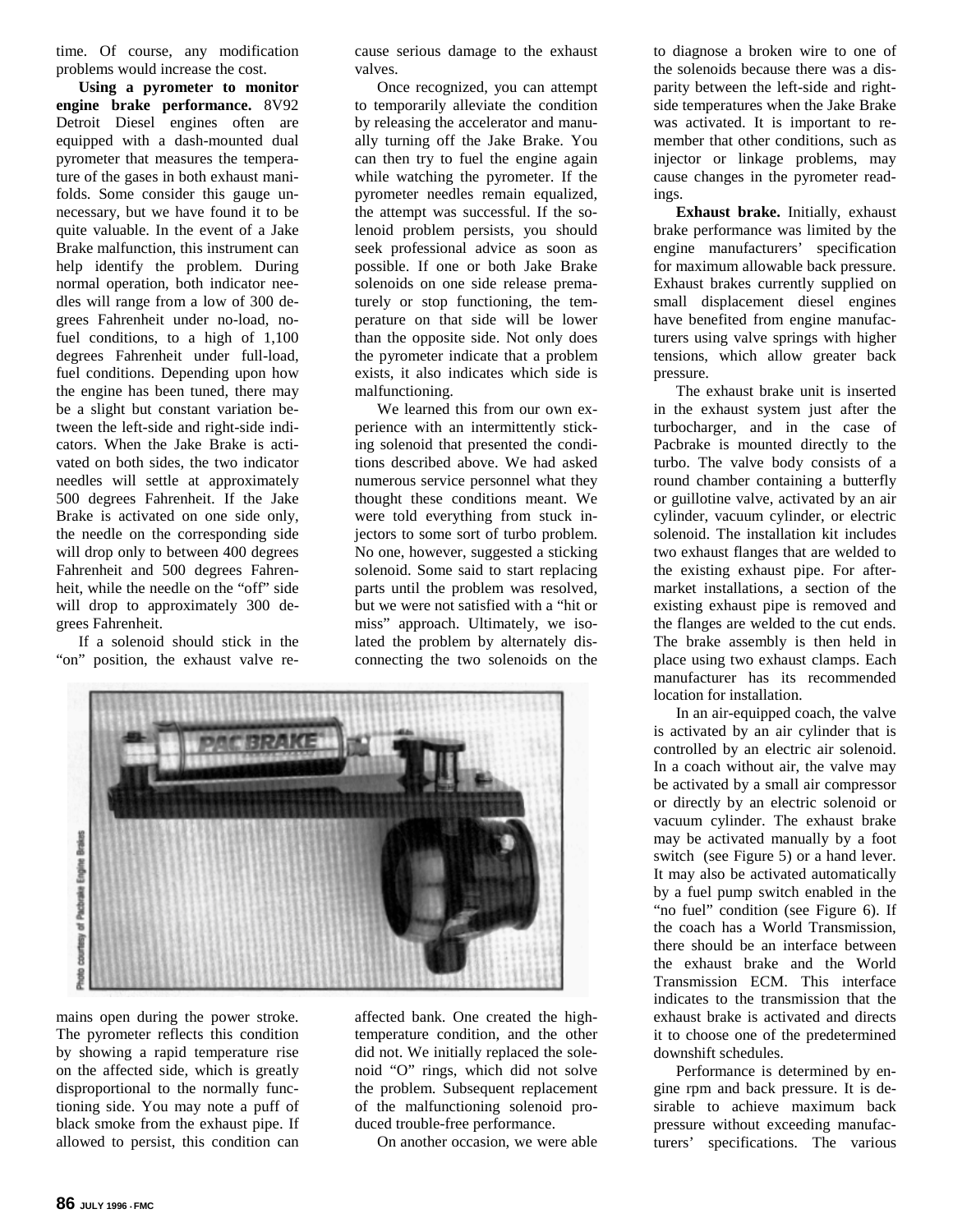time. Of course, any modification problems would increase the cost.

**Using a pyrometer to monitor engine brake performance.** 8V92 Detroit Diesel engines often are equipped with a dash-mounted dual pyrometer that measures the temperature of the gases in both exhaust manifolds. Some consider this gauge unnecessary, but we have found it to be quite valuable. In the event of a Jake Brake malfunction, this instrument can help identify the problem. During normal operation, both indicator needles will range from a low of 300 degrees Fahrenheit under no-load, nofuel conditions, to a high of 1,100 degrees Fahrenheit under full-load, fuel conditions. Depending upon how the engine has been tuned, there may be a slight but constant variation between the left-side and right-side indicators. When the Jake Brake is activated on both sides, the two indicator needles will settle at approximately 500 degrees Fahrenheit. If the Jake Brake is activated on one side only, the needle on the corresponding side will drop only to between 400 degrees Fahrenheit and 500 degrees Fahrenheit, while the needle on the "off" side will drop to approximately 300 degrees Fahrenheit.

If a solenoid should stick in the "on" position, the exhaust valve recause serious damage to the exhaust valves.

Once recognized, you can attempt to temporarily alleviate the condition by releasing the accelerator and manually turning off the Jake Brake. You can then try to fuel the engine again while watching the pyrometer. If the pyrometer needles remain equalized, the attempt was successful. If the solenoid problem persists, you should seek professional advice as soon as possible. If one or both Jake Brake solenoids on one side release prematurely or stop functioning, the temperature on that side will be lower than the opposite side. Not only does the pyrometer indicate that a problem exists, it also indicates which side is malfunctioning.

We learned this from our own experience with an intermittently sticking solenoid that presented the conditions described above. We had asked numerous service personnel what they thought these conditions meant. We were told everything from stuck injectors to some sort of turbo problem. No one, however, suggested a sticking solenoid. Some said to start replacing parts until the problem was resolved, but we were not satisfied with a "hit or miss" approach. Ultimately, we isolated the problem by alternately disconnecting the two solenoids on the



mains open during the power stroke. The pyrometer reflects this condition by showing a rapid temperature rise on the affected side, which is greatly disproportional to the normally functioning side. You may note a puff of black smoke from the exhaust pipe. If allowed to persist, this condition can affected bank. One created the hightemperature condition, and the other did not. We initially replaced the solenoid "O" rings, which did not solve the problem. Subsequent replacement of the malfunctioning solenoid produced trouble-free performance.

On another occasion, we were able

to diagnose a broken wire to one of the solenoids because there was a disparity between the left-side and rightside temperatures when the Jake Brake was activated. It is important to remember that other conditions, such as injector or linkage problems, may cause changes in the pyrometer readings.

**Exhaust brake.** Initially, exhaust brake performance was limited by the engine manufacturers' specification for maximum allowable back pressure. Exhaust brakes currently supplied on small displacement diesel engines have benefited from engine manufacturers using valve springs with higher tensions, which allow greater back pressure.

The exhaust brake unit is inserted in the exhaust system just after the turbocharger, and in the case of Pacbrake is mounted directly to the turbo. The valve body consists of a round chamber containing a butterfly or guillotine valve, activated by an air cylinder, vacuum cylinder, or electric solenoid. The installation kit includes two exhaust flanges that are welded to the existing exhaust pipe. For aftermarket installations, a section of the existing exhaust pipe is removed and the flanges are welded to the cut ends. The brake assembly is then held in place using two exhaust clamps. Each manufacturer has its recommended location for installation.

In an air-equipped coach, the valve is activated by an air cylinder that is controlled by an electric air solenoid. In a coach without air, the valve may be activated by a small air compressor or directly by an electric solenoid or vacuum cylinder. The exhaust brake may be activated manually by a foot switch (see Figure 5) or a hand lever. It may also be activated automatically by a fuel pump switch enabled in the "no fuel" condition (see Figure 6). If the coach has a World Transmission, there should be an interface between the exhaust brake and the World Transmission ECM. This interface indicates to the transmission that the exhaust brake is activated and directs it to choose one of the predetermined downshift schedules.

Performance is determined by engine rpm and back pressure. It is desirable to achieve maximum back pressure without exceeding manufacturers' specifications. The various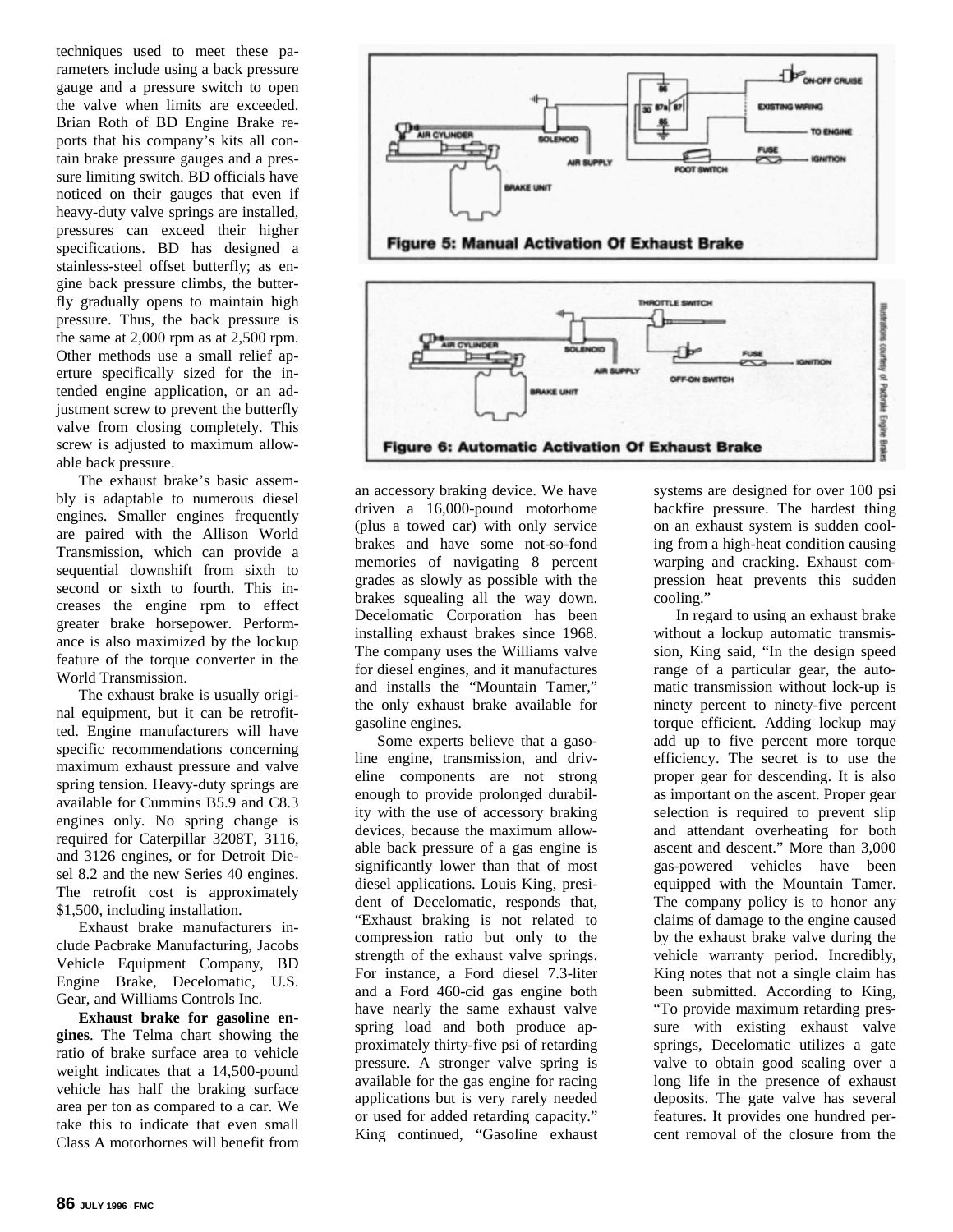techniques used to meet these parameters include using a back pressure gauge and a pressure switch to open the valve when limits are exceeded. Brian Roth of BD Engine Brake reports that his company's kits all contain brake pressure gauges and a pressure limiting switch. BD officials have noticed on their gauges that even if heavy-duty valve springs are installed, pressures can exceed their higher specifications. BD has designed a stainless-steel offset butterfly; as engine back pressure climbs, the butterfly gradually opens to maintain high pressure. Thus, the back pressure is the same at 2,000 rpm as at 2,500 rpm. Other methods use a small relief aperture specifically sized for the intended engine application, or an adjustment screw to prevent the butterfly valve from closing completely. This screw is adjusted to maximum allowable back pressure.

The exhaust brake's basic assembly is adaptable to numerous diesel engines. Smaller engines frequently are paired with the Allison World Transmission, which can provide a sequential downshift from sixth to second or sixth to fourth. This increases the engine rpm to effect greater brake horsepower. Performance is also maximized by the lockup feature of the torque converter in the World Transmission.

The exhaust brake is usually original equipment, but it can be retrofitted. Engine manufacturers will have specific recommendations concerning maximum exhaust pressure and valve spring tension. Heavy-duty springs are available for Cummins B5.9 and C8.3 engines only. No spring change is required for Caterpillar 3208T, 3116, and 3126 engines, or for Detroit Diesel 8.2 and the new Series 40 engines. The retrofit cost is approximately \$1,500, including installation.

Exhaust brake manufacturers include Pacbrake Manufacturing, Jacobs Vehicle Equipment Company, BD Engine Brake, Decelomatic, U.S. Gear, and Williams Controls Inc.

**Exhaust brake for gasoline engines**. The Telma chart showing the ratio of brake surface area to vehicle weight indicates that a 14,500-pound vehicle has half the braking surface area per ton as compared to a car. We take this to indicate that even small Class A motorhornes will benefit from





an accessory braking device. We have driven a 16,000-pound motorhome (plus a towed car) with only service brakes and have some not-so-fond memories of navigating 8 percent grades as slowly as possible with the brakes squealing all the way down. Decelomatic Corporation has been installing exhaust brakes since 1968. The company uses the Williams valve for diesel engines, and it manufactures and installs the "Mountain Tamer," the only exhaust brake available for gasoline engines.

Some experts believe that a gasoline engine, transmission, and driveline components are not strong enough to provide prolonged durability with the use of accessory braking devices, because the maximum allowable back pressure of a gas engine is significantly lower than that of most diesel applications. Louis King, president of Decelomatic, responds that, "Exhaust braking is not related to compression ratio but only to the strength of the exhaust valve springs. For instance, a Ford diesel 7.3-liter and a Ford 460-cid gas engine both have nearly the same exhaust valve spring load and both produce approximately thirty-five psi of retarding pressure. A stronger valve spring is available for the gas engine for racing applications but is very rarely needed or used for added retarding capacity." King continued, "Gasoline exhaust

systems are designed for over 100 psi backfire pressure. The hardest thing on an exhaust system is sudden cooling from a high-heat condition causing warping and cracking. Exhaust compression heat prevents this sudden cooling."

In regard to using an exhaust brake without a lockup automatic transmission, King said, "In the design speed range of a particular gear, the automatic transmission without lock-up is ninety percent to ninety-five percent torque efficient. Adding lockup may add up to five percent more torque efficiency. The secret is to use the proper gear for descending. It is also as important on the ascent. Proper gear selection is required to prevent slip and attendant overheating for both ascent and descent." More than 3,000 gas-powered vehicles have been equipped with the Mountain Tamer. The company policy is to honor any claims of damage to the engine caused by the exhaust brake valve during the vehicle warranty period. Incredibly, King notes that not a single claim has been submitted. According to King, "To provide maximum retarding pressure with existing exhaust valve springs, Decelomatic utilizes a gate valve to obtain good sealing over a long life in the presence of exhaust deposits. The gate valve has several features. It provides one hundred percent removal of the closure from the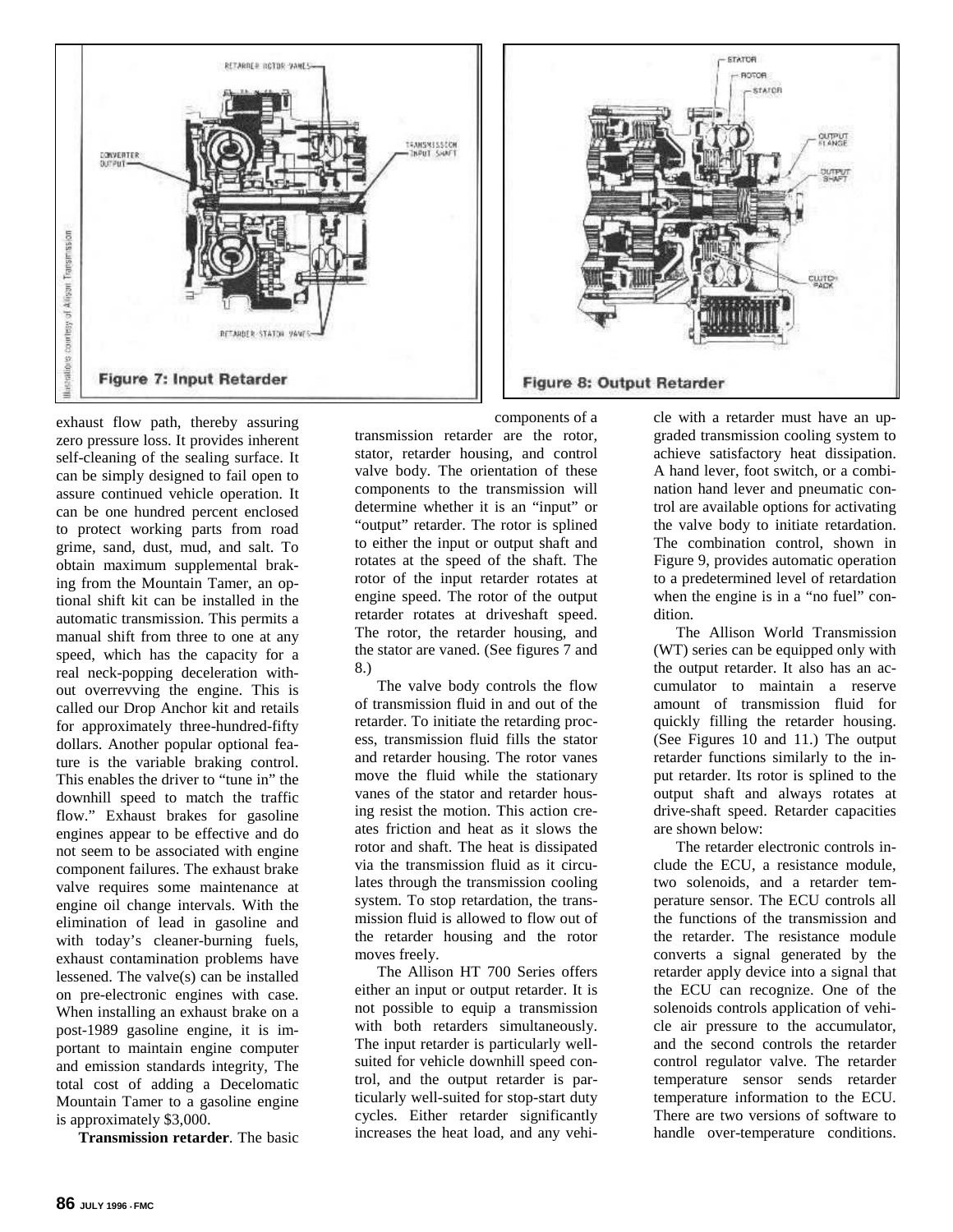

exhaust flow path, thereby assuring zero pressure loss. It provides inherent self-cleaning of the sealing surface. It can be simply designed to fail open to assure continued vehicle operation. It can be one hundred percent enclosed to protect working parts from road grime, sand, dust, mud, and salt. To obtain maximum supplemental braking from the Mountain Tamer, an optional shift kit can be installed in the automatic transmission. This permits a manual shift from three to one at any speed, which has the capacity for a real neck-popping deceleration without overrevving the engine. This is called our Drop Anchor kit and retails for approximately three-hundred-fifty dollars. Another popular optional feature is the variable braking control. This enables the driver to "tune in" the downhill speed to match the traffic flow." Exhaust brakes for gasoline engines appear to be effective and do not seem to be associated with engine component failures. The exhaust brake valve requires some maintenance at engine oil change intervals. With the elimination of lead in gasoline and with today's cleaner-burning fuels, exhaust contamination problems have lessened. The valve(s) can be installed on pre-electronic engines with case. When installing an exhaust brake on a post-1989 gasoline engine, it is important to maintain engine computer and emission standards integrity, The total cost of adding a Decelomatic Mountain Tamer to a gasoline engine is approximately \$3,000.

**Transmission retarder**. The basic

transmission retarder are the rotor, stator, retarder housing, and control valve body. The orientation of these components to the transmission will determine whether it is an "input" or "output" retarder. The rotor is splined to either the input or output shaft and rotates at the speed of the shaft. The rotor of the input retarder rotates at engine speed. The rotor of the output retarder rotates at driveshaft speed. The rotor, the retarder housing, and the stator are vaned. (See figures 7 and 8.)

The valve body controls the flow of transmission fluid in and out of the retarder. To initiate the retarding process, transmission fluid fills the stator and retarder housing. The rotor vanes move the fluid while the stationary vanes of the stator and retarder housing resist the motion. This action creates friction and heat as it slows the rotor and shaft. The heat is dissipated via the transmission fluid as it circulates through the transmission cooling system. To stop retardation, the transmission fluid is allowed to flow out of the retarder housing and the rotor moves freely.

The Allison HT 700 Series offers either an input or output retarder. It is not possible to equip a transmission with both retarders simultaneously. The input retarder is particularly wellsuited for vehicle downhill speed control, and the output retarder is particularly well-suited for stop-start duty cycles. Either retarder significantly increases the heat load, and any vehi-

cle with a retarder must have an upgraded transmission cooling system to achieve satisfactory heat dissipation. A hand lever, foot switch, or a combination hand lever and pneumatic control are available options for activating the valve body to initiate retardation. The combination control, shown in Figure 9, provides automatic operation to a predetermined level of retardation when the engine is in a "no fuel" condition.

**BEATOR** 

**BOTOB** STATOR

The Allison World Transmission (WT) series can be equipped only with the output retarder. It also has an accumulator to maintain a reserve amount of transmission fluid for quickly filling the retarder housing. (See Figures 10 and 11.) The output retarder functions similarly to the input retarder. Its rotor is splined to the output shaft and always rotates at drive-shaft speed. Retarder capacities are shown below:

The retarder electronic controls include the ECU, a resistance module, two solenoids, and a retarder temperature sensor. The ECU controls all the functions of the transmission and the retarder. The resistance module converts a signal generated by the retarder apply device into a signal that the ECU can recognize. One of the solenoids controls application of vehicle air pressure to the accumulator, and the second controls the retarder control regulator valve. The retarder temperature sensor sends retarder temperature information to the ECU. There are two versions of software to handle over-temperature conditions.

components of a

Figure 8: Output Retarder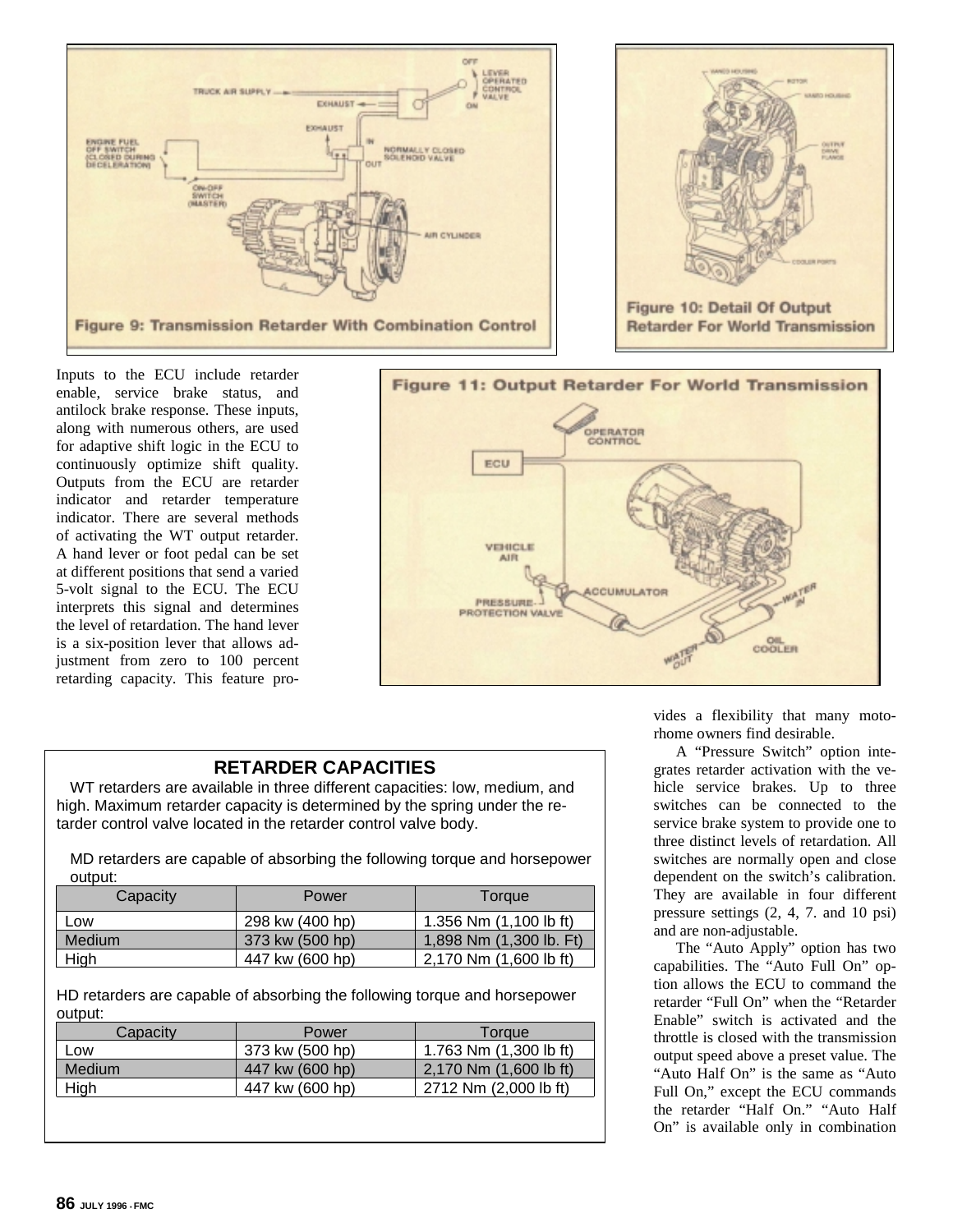

Inputs to the ECU include retarder enable, service brake status, and antilock brake response. These inputs, along with numerous others, are used for adaptive shift logic in the ECU to continuously optimize shift quality. Outputs from the ECU are retarder indicator and retarder temperature indicator. There are several methods of activating the WT output retarder. A hand lever or foot pedal can be set at different positions that send a varied 5-volt signal to the ECU. The ECU interprets this signal and determines the level of retardation. The hand lever is a six-position lever that allows adjustment from zero to 100 percent retarding capacity. This feature pro-



## **RETARDER CAPACITIES**

WT retarders are available in three different capacities: low, medium, and high. Maximum retarder capacity is determined by the spring under the retarder control valve located in the retarder control valve body.

MD retarders are capable of absorbing the following torque and horsepower output:

| Capacity      | Power           | Torque                  |
|---------------|-----------------|-------------------------|
| Low           | 298 kw (400 hp) | 1.356 Nm (1,100 lb ft)  |
| <b>Medium</b> | 373 kw (500 hp) | 1,898 Nm (1,300 lb. Ft) |
| High          | 447 kw (600 hp) | 2,170 Nm (1,600 lb ft)  |

HD retarders are capable of absorbing the following torque and horsepower output:

| Capacity | Power           | Torque                   |
|----------|-----------------|--------------------------|
| Low      | 373 kw (500 hp) | 1.763 Nm $(1,300$ lb ft) |
| Medium   | 447 kw (600 hp) | 2,170 Nm (1,600 lb ft)   |
| High     | 447 kw (600 hp) | 2712 Nm (2,000 lb ft)    |

vides a flexibility that many motorhome owners find desirable.

A "Pressure Switch" option integrates retarder activation with the vehicle service brakes. Up to three switches can be connected to the service brake system to provide one to three distinct levels of retardation. All switches are normally open and close dependent on the switch's calibration. They are available in four different pressure settings (2, 4, 7. and 10 psi) and are non-adjustable.

The "Auto Apply" option has two capabilities. The "Auto Full On" option allows the ECU to command the retarder "Full On" when the "Retarder Enable" switch is activated and the throttle is closed with the transmission output speed above a preset value. The "Auto Half On" is the same as "Auto Full On," except the ECU commands the retarder "Half On." "Auto Half On" is available only in combination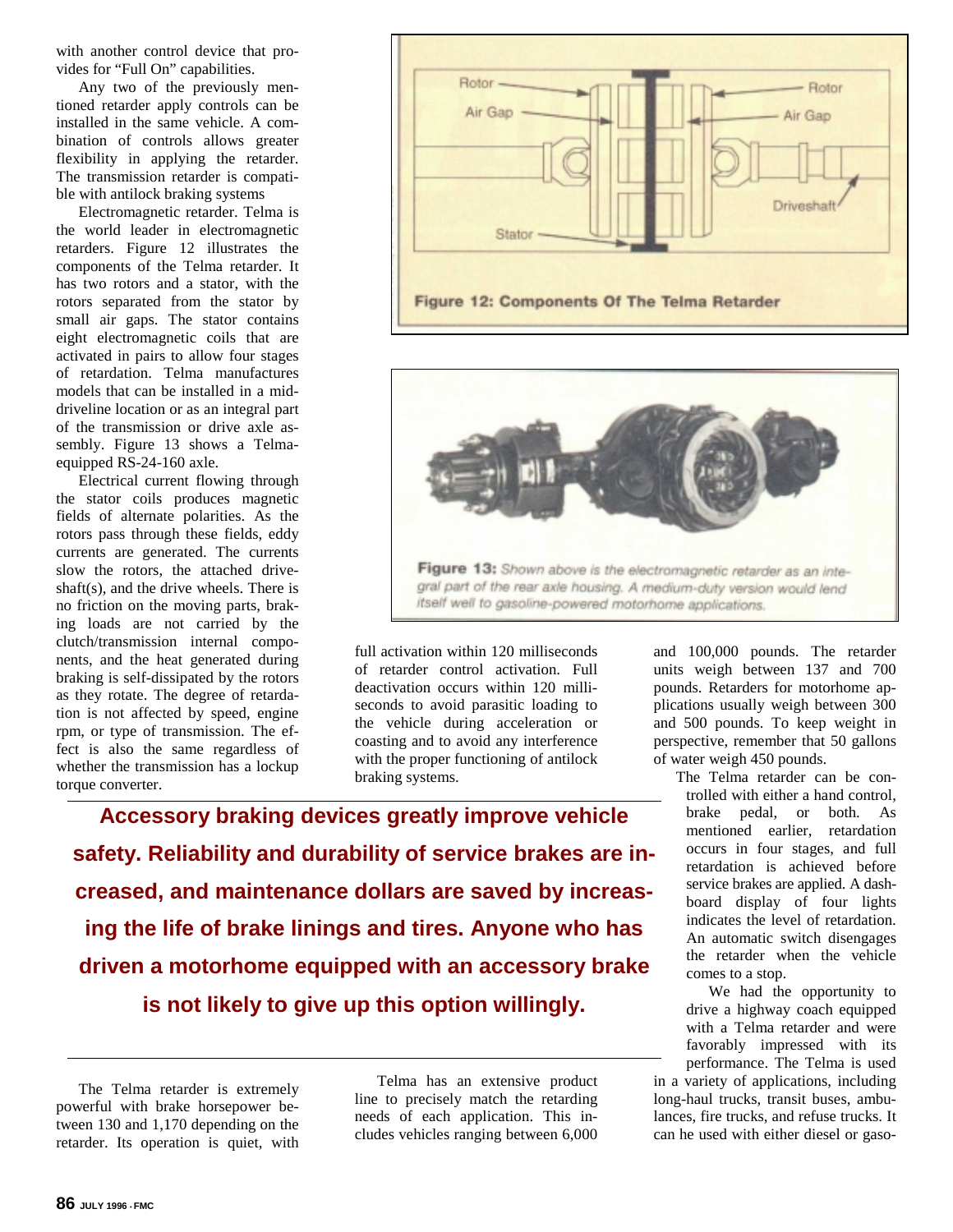with another control device that provides for "Full On" capabilities.

Any two of the previously mentioned retarder apply controls can be installed in the same vehicle. A combination of controls allows greater flexibility in applying the retarder. The transmission retarder is compatible with antilock braking systems

Electromagnetic retarder. Telma is the world leader in electromagnetic retarders. Figure 12 illustrates the components of the Telma retarder. It has two rotors and a stator, with the rotors separated from the stator by small air gaps. The stator contains eight electromagnetic coils that are activated in pairs to allow four stages of retardation. Telma manufactures models that can be installed in a middriveline location or as an integral part of the transmission or drive axle assembly. Figure 13 shows a Telmaequipped RS-24-160 axle.

Electrical current flowing through the stator coils produces magnetic fields of alternate polarities. As the rotors pass through these fields, eddy currents are generated. The currents slow the rotors, the attached driveshaft(s), and the drive wheels. There is no friction on the moving parts, braking loads are not carried by the clutch/transmission internal components, and the heat generated during braking is self-dissipated by the rotors as they rotate. The degree of retardation is not affected by speed, engine rpm, or type of transmission. The effect is also the same regardless of whether the transmission has a lockup torque converter.





full activation within 120 milliseconds of retarder control activation. Full deactivation occurs within 120 milliseconds to avoid parasitic loading to the vehicle during acceleration or coasting and to avoid any interference with the proper functioning of antilock braking systems.

**Accessory braking devices greatly improve vehicle safety. Reliability and durability of service brakes are increased, and maintenance dollars are saved by increasing the life of brake linings and tires. Anyone who has driven a motorhome equipped with an accessory brake is not likely to give up this option willingly.**

Telma has an extensive product line to precisely match the retarding needs of each application. This includes vehicles ranging between 6,000

and 100,000 pounds. The retarder units weigh between 137 and 700 pounds. Retarders for motorhome applications usually weigh between 300 and 500 pounds. To keep weight in perspective, remember that 50 gallons of water weigh 450 pounds.

The Telma retarder can be controlled with either a hand control, brake pedal, or both. As mentioned earlier, retardation occurs in four stages, and full retardation is achieved before service brakes are applied. A dashboard display of four lights indicates the level of retardation. An automatic switch disengages the retarder when the vehicle comes to a stop.

We had the opportunity to drive a highway coach equipped with a Telma retarder and were favorably impressed with its performance. The Telma is used in a variety of applications, including long-haul trucks, transit buses, ambulances, fire trucks, and refuse trucks. It can he used with either diesel or gaso-

The Telma retarder is extremely powerful with brake horsepower between 130 and 1,170 depending on the retarder. Its operation is quiet, with